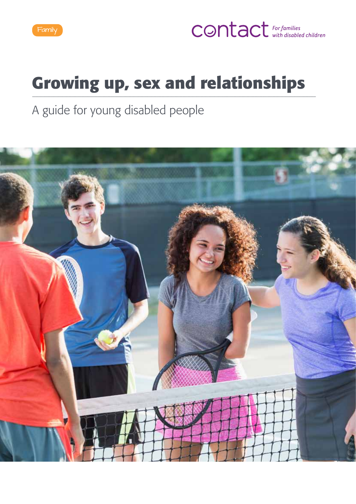

## **CONTACT** For families

## **Growing up, sex and relationships**

A guide for young disabled people

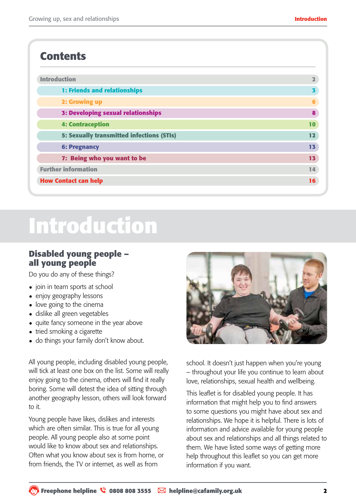## **Contents**

| <b>Introduction</b>                              | $\overline{\mathbf{2}}$ |
|--------------------------------------------------|-------------------------|
| 1: Friends and relationships                     | 3                       |
| 2: Growing up                                    | 6                       |
| <b>3: Developing sexual relationships</b>        | 8                       |
| <b>4: Contraception</b>                          | 10                      |
| <b>5: Sexually transmitted infections (STIs)</b> | 12                      |
| <b>6: Pregnancy</b>                              | 13                      |
| 7: Being who you want to be                      | 13                      |
| <b>Further information</b>                       | 14                      |
| <b>How Contact can help</b>                      | 16                      |

## **Introduction**

## **Disabled young people – all young people**

Do you do any of these things?

- join in team sports at school
- enjoy geography lessons
- love going to the cinema
- dislike all green vegetables
- quite fancy someone in the year above
- tried smoking a cigarette
- do things your family don't know about.

All young people, including disabled young people, will tick at least one box on the list. Some will really enjoy going to the cinema, others will find it really boring. Some will detest the idea of sitting through another geography lesson, others will look forward to it.

Young people have likes, dislikes and interests which are often similar. This is true for all young people. All young people also at some point would like to know about sex and relationships. Often what you know about sex is from home, or from friends, the TV or internet, as well as from



school. It doesn't just happen when you're young – throughout your life you continue to learn about love, relationships, sexual health and wellbeing.

This leaflet is for disabled young people. It has information that might help you to find answers to some questions you might have about sex and relationships. We hope it is helpful. There is lots of information and advice available for young people about sex and relationships and all things related to them. We have listed some ways of getting more help throughout this leaflet so you can get more information if you want.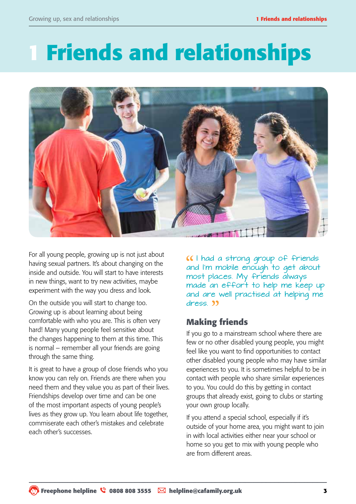# **1 Friends and relationships**



For all young people, growing up is not just about having sexual partners. It's about changing on the inside and outside. You will start to have interests in new things, want to try new activities, maybe experiment with the way you dress and look.

On the outside you will start to change too. Growing up is about learning about being comfortable with who you are. This is often very hard! Many young people feel sensitive about the changes happening to them at this time. This is normal – remember all your friends are going through the same thing.

It is great to have a group of close friends who you know you can rely on. Friends are there when you need them and they value you as part of their lives. Friendships develop over time and can be one of the most important aspects of young people's lives as they grow up. You learn about life together, commiserate each other's mistakes and celebrate each other's successes.

I had a strong group of friends and I'm mobile enough to get about most places. My friends always made an effort to help me keep up and are well practised at helping me dress. 33

## **Making friends**

If you go to a mainstream school where there are few or no other disabled young people, you might feel like you want to find opportunities to contact other disabled young people who may have similar experiences to you. It is sometimes helpful to be in contact with people who share similar experiences to you. You could do this by getting in contact groups that already exist, going to clubs or starting your own group locally.

If you attend a special school, especially if it's outside of your home area, you might want to join in with local activities either near your school or home so you get to mix with young people who are from different areas.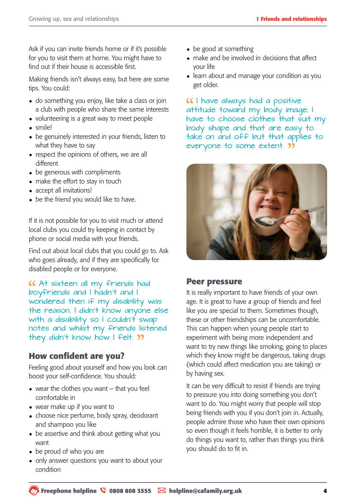Ask if you can invite friends home or if it's possible for you to visit them at home. You might have to find out if their house is accessible first.

Making friends isn't always easy, but here are some tips. You could:

- do something you enjoy, like take a class or join a club with people who share the same interests
- volunteering is a great way to meet people
- smile!
- be genuinely interested in your friends, listen to what they have to say
- respect the opinions of others, we are all different
- be generous with compliments
- make the effort to stay in touch
- accept all invitations!
- be the friend you would like to have.

If it is not possible for you to visit much or attend local clubs you could try keeping in contact by phone or social media with your friends.

Find out about local clubs that you could go to. Ask who goes already, and if they are specifically for disabled people or for everyone.

At sixteen all my friends had boyfriends and I hadn't and I wondered then if my disability was the reason. I didn't know anyone else with a disability so I couldn't swap notes and whilst my friends listened they didn't know how I felt. **33** 

## **How confident are you?**

Feeling good about yourself and how you look can boost your self-confidence. You should:

- wear the clothes you want  $-$  that you feel comfortable in
- wear make up if you want to
- choose nice perfume, body spray, deodorant and shampoo you like
- be assertive and think about getting what you want
- be proud of who you are
- only answer questions you want to about your condition
- be good at something
- make and be involved in decisions that affect your life
- learn about and manage your condition as you get older.

**I** have always had a positive attitude toward my body image. I have to choose clothes that suit my body shape and that are easy to take on and off but that applies to everyone to some extent.



### **Peer pressure**

It is really important to have friends of your own age. It is great to have a group of friends and feel like you are special to them. Sometimes though, these or other friendships can be uncomfortable. This can happen when young people start to experiment with being more independent and want to try new things like smoking, going to places which they know might be dangerous, taking drugs (which could affect medication you are taking) or by having sex.

It can be very difficult to resist if friends are trying to pressure you into doing something you don't want to do. You might worry that people will stop being friends with you if you don't join in. Actually, people admire those who have their own opinions so even though it feels horrible, it is better to only do things you want to, rather than things you think you should do to fit in.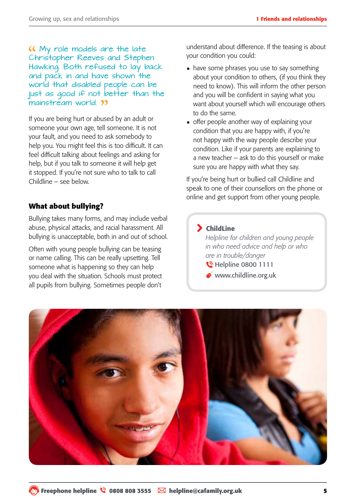My role models are the late Christopher Reeves and Stephen Hawking. Both refused to lay back and pack in and have shown the world that disabled people can be just as good if not better than the mainstream world. **33** 

If you are being hurt or abused by an adult or someone your own age, tell someone. It is not your fault, and you need to ask somebody to help you. You might feel this is too difficult. It can feel difficult talking about feelings and asking for help, but if you talk to someone it will help get it stopped. If you're not sure who to talk to call Childline – see below.

#### **What about bullying?**

Bullying takes many forms, and may include verbal abuse, physical attacks, and racial harassment. All bullying is unacceptable, both in and out of school.

Often with young people bullying can be teasing or name calling. This can be really upsetting. Tell someone what is happening so they can help you deal with the situation. Schools must protect all pupils from bullying. Sometimes people don't

understand about difference. If the teasing is about your condition you could:

- have some phrases you use to say something about your condition to others, (if you think they need to know). This will inform the other person and you will be confident in saying what you want about yourself which will encourage others to do the same.
- offer people another way of explaining your condition that you are happy with, if you're not happy with the way people describe your condition. Like if your parents are explaining to a new teacher – ask to do this yourself or make sure you are happy with what they say.

If you're being hurt or bullied call Childline and speak to one of their counsellors on the phone or online and get support from other young people.

#### ChildLine

*Helpline for children and young people in who need advice and help or who are in trouble/danger* **W** Helpline 0800 1111

www.childline.org.uk

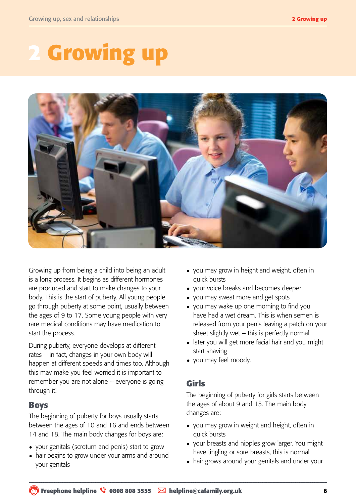# *<u>Growing up</u>*



Growing up from being a child into being an adult is a long process. It begins as different hormones are produced and start to make changes to your body. This is the start of puberty. All young people go through puberty at some point, usually between the ages of 9 to 17. Some young people with very rare medical conditions may have medication to start the process.

During puberty, everyone develops at different rates – in fact, changes in your own body will happen at different speeds and times too. Although this may make you feel worried it is important to remember you are not alone – everyone is going through it!

## **Boys**

The beginning of puberty for boys usually starts between the ages of 10 and 16 and ends between 14 and 18. The main body changes for boys are:

- your genitals (scrotum and penis) start to grow
- hair begins to grow under your arms and around your genitals
- you may grow in height and weight, often in quick bursts
- • your voice breaks and becomes deeper
- you may sweat more and get spots
- you may wake up one morning to find you have had a wet dream. This is when semen is released from your penis leaving a patch on your sheet slightly wet – this is perfectly normal
- later you will get more facial hair and you might start shaving
- • you may feel moody.

## **Girls**

The beginning of puberty for girls starts between the ages of about 9 and 15. The main body changes are:

- you may grow in weight and height, often in quick bursts
- your breasts and nipples grow larger. You might have tingling or sore breasts, this is normal
- hair grows around your genitals and under your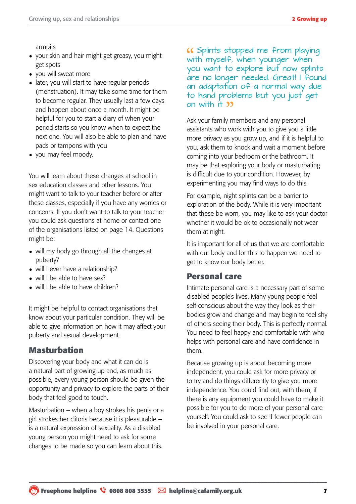armpits

- your skin and hair might get greasy, you might get spots
- you will sweat more
- later, you will start to have regular periods (menstruation). It may take some time for them to become regular. They usually last a few days and happen about once a month. It might be helpful for you to start a diary of when your period starts so you know when to expect the next one. You will also be able to plan and have pads or tampons with you
- you may feel moody.

You will learn about these changes at school in sex education classes and other lessons. You might want to talk to your teacher before or after these classes, especially if you have any worries or concerns. If you don't want to talk to your teacher you could ask questions at home or contact one of the organisations listed on page 14. Questions might be:

- will my body go through all the changes at puberty?
- will I ever have a relationship?
- will I be able to have sex?
- will I be able to have children?

It might be helpful to contact organisations that know about your particular condition. They will be able to give information on how it may affect your puberty and sexual development.

### **Masturbation**

Discovering your body and what it can do is a natural part of growing up and, as much as possible, every young person should be given the opportunity and privacy to explore the parts of their body that feel good to touch.

Masturbation – when a boy strokes his penis or a girl strokes her clitoris because it is pleasurable – is a natural expression of sexuality. As a disabled young person you might need to ask for some changes to be made so you can learn about this.

Splints stopped me from playing with myself, when younger when you want to explore but now splints are no longer needed. Great! I found an adaptation of a normal way due to hand problems but you just get on with  $H = 99$ 

Ask your family members and any personal assistants who work with you to give you a little more privacy as you grow up, and if it is helpful to you, ask them to knock and wait a moment before coming into your bedroom or the bathroom. It may be that exploring your body or masturbating is difficult due to your condition. However, by experimenting you may find ways to do this.

For example, night splints can be a barrier to exploration of the body. While it is very important that these be worn, you may like to ask your doctor whether it would be ok to occasionally not wear them at night.

It is important for all of us that we are comfortable with our body and for this to happen we need to get to know our body better.

### **Personal care**

Intimate personal care is a necessary part of some disabled people's lives. Many young people feel self-conscious about the way they look as their bodies grow and change and may begin to feel shy of others seeing their body. This is perfectly normal. You need to feel happy and comfortable with who helps with personal care and have confidence in them.

Because growing up is about becoming more independent, you could ask for more privacy or to try and do things differently to give you more independence. You could find out, with them, if there is any equipment you could have to make it possible for you to do more of your personal care yourself. You could ask to see if fewer people can be involved in your personal care.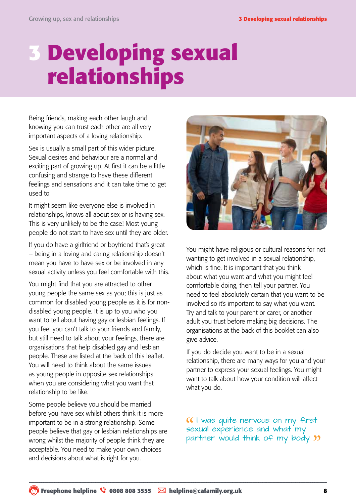## **3 Developing sexual relationships**

Being friends, making each other laugh and knowing you can trust each other are all very important aspects of a loving relationship.

Sex is usually a small part of this wider picture. Sexual desires and behaviour are a normal and exciting part of growing up. At first it can be a little confusing and strange to have these different feelings and sensations and it can take time to get used to.

It might seem like everyone else is involved in relationships, knows all about sex or is having sex. This is very unlikely to be the case! Most young people do not start to have sex until they are older.

If you do have a girlfriend or boyfriend that's great – being in a loving and caring relationship doesn't mean you have to have sex or be involved in any sexual activity unless you feel comfortable with this.

You might find that you are attracted to other young people the same sex as you; this is just as common for disabled young people as it is for nondisabled young people. It is up to you who you want to tell about having gay or lesbian feelings. If you feel you can't talk to your friends and family, but still need to talk about your feelings, there are organisations that help disabled gay and lesbian people. These are listed at the back of this leaflet. You will need to think about the same issues as young people in opposite sex relationships when you are considering what you want that relationship to be like.

Some people believe you should be married before you have sex whilst others think it is more important to be in a strong relationship. Some people believe that gay or lesbian relationships are wrong whilst the majority of people think they are acceptable. You need to make your own choices and decisions about what is right for you.



You might have religious or cultural reasons for not wanting to get involved in a sexual relationship, which is fine. It is important that you think about what you want and what you might feel comfortable doing, then tell your partner. You need to feel absolutely certain that you want to be involved so it's important to say what you want. Try and talk to your parent or carer, or another adult you trust before making big decisions. The organisations at the back of this booklet can also give advice.

If you do decide you want to be in a sexual relationship, there are many ways for you and your partner to express your sexual feelings. You might want to talk about how your condition will affect what you do.

I was quite nervous on my first sexual experience and what my partner would think of my body "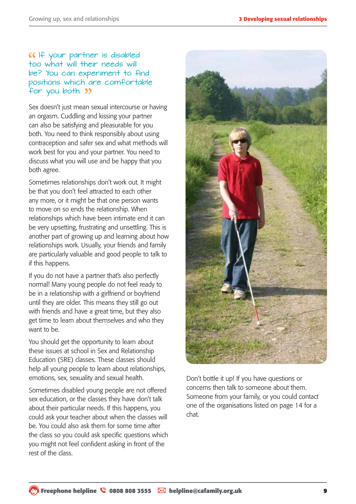### If your partner is disabled too what will their needs will be? You can experiment to find positions which are comfortable for you both. **39**

Sex doesn't just mean sexual intercourse or having an orgasm. Cuddling and kissing your partner can also be satisfying and pleasurable for you both. You need to think responsibly about using contraception and safer sex and what methods will work best for you and your partner. You need to discuss what you will use and be happy that you both agree.

Sometimes relationships don't work out. It might be that you don't feel attracted to each other any more, or it might be that one person wants to move on so ends the relationship. When relationships which have been intimate end it can be very upsetting, frustrating and unsettling. This is another part of growing up and learning about how relationships work. Usually, your friends and family are particularly valuable and good people to talk to if this happens.

If you do not have a partner that's also perfectly normal! Many young people do not feel ready to be in a relationship with a girlfriend or boyfriend until they are older. This means they still go out with friends and have a great time, but they also get time to learn about themselves and who they want to be.

You should get the opportunity to learn about these issues at school in Sex and Relationship Education (SRE) classes. These classes should help all young people to learn about relationships, emotions, sex, sexuality and sexual health.

Sometimes disabled young people are not offered sex education, or the classes they have don't talk about their particular needs. If this happens, you could ask your teacher about when the classes will be. You could also ask them for some time after the class so you could ask specific questions which you might not feel confident asking in front of the rest of the class.



Don't bottle it up! If you have questions or concerns then talk to someone about them. Someone from your family, or you could contact one of the organisations listed on page 14 for a chat.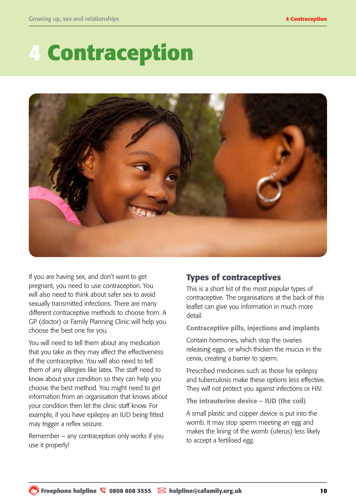# **4 Contraception**



If you are having sex, and don't want to get pregnant, you need to use contraception. You will also need to think about safer sex to avoid sexually transmitted infections. There are many different contraceptive methods to choose from. A GP (doctor) or Family Planning Clinic will help you choose the best one for you.

You will need to tell them about any medication that you take as they may affect the effectiveness of the contraceptive. You will also need to tell them of any allergies like latex. The staff need to know about your condition so they can help you choose the best method. You might need to get information from an organisation that knows about your condition then let the clinic staff know. For example, if you have epilepsy an IUD being fitted may trigger a reflex seizure.

Remember – any contraception only works if you use it properly!

## **Types of contraceptives**

This is a short list of the most popular types of contraceptive. The organisations at the back of this leaflet can give you information in much more detail.

Contraceptive pills, injections and implants

Contain hormones, which stop the ovaries releasing eggs, or which thicken the mucus in the cervix, creating a barrier to sperm.

Prescribed medicines such as those for epilepsy and tuberculosis make these options less effective. They will not protect you against infections or HIV.

The intrauterine device – IUD (the coil)

A small plastic and copper device is put into the womb. It may stop sperm meeting an egg and makes the lining of the womb (uterus) less likely to accept a fertilised egg.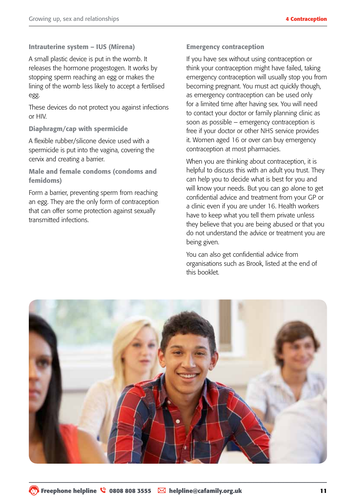#### Intrauterine system – IUS (Mirena)

A small plastic device is put in the womb. It releases the hormone progestogen. It works by stopping sperm reaching an egg or makes the lining of the womb less likely to accept a fertilised egg.

These devices do not protect you against infections or HIV.

#### Diaphragm/cap with spermicide

A flexible rubber/silicone device used with a spermicide is put into the vagina, covering the cervix and creating a barrier.

Male and female condoms (condoms and femidoms)

Form a barrier, preventing sperm from reaching an egg. They are the only form of contraception that can offer some protection against sexually transmitted infections.

#### Emergency contraception

If you have sex without using contraception or think your contraception might have failed, taking emergency contraception will usually stop you from becoming pregnant. You must act quickly though, as emergency contraception can be used only for a limited time after having sex. You will need to contact your doctor or family planning clinic as soon as possible – emergency contraception is free if your doctor or other NHS service provides it. Women aged 16 or over can buy emergency contraception at most pharmacies.

When you are thinking about contraception, it is helpful to discuss this with an adult you trust. They can help you to decide what is best for you and will know your needs. But you can go alone to get confidential advice and treatment from your GP or a clinic even if you are under 16. Health workers have to keep what you tell them private unless they believe that you are being abused or that you do not understand the advice or treatment you are being given.

You can also get confidential advice from organisations such as Brook, listed at the end of this booklet.

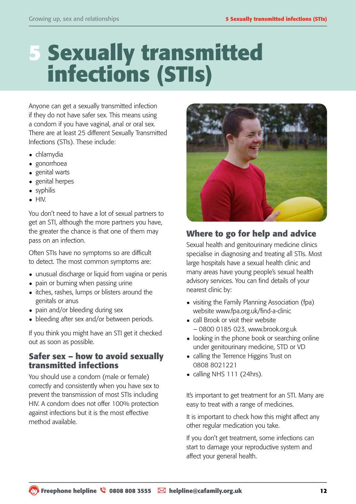## **5 Sexually transmitted infections (STIs)**

Anyone can get a sexually transmitted infection if they do not have safer sex. This means using a condom if you have vaginal, anal or oral sex. There are at least 25 different Sexually Transmitted Infections (STIs). These include:

- • chlamydia
- gonorrhoea
- genital warts
- genital herpes
- syphilis
- • HIV.

You don't need to have a lot of sexual partners to get an STI, although the more partners you have, the greater the chance is that one of them may pass on an infection.

Often STIs have no symptoms so are difficult to detect. The most common symptoms are:

- unusual discharge or liquid from vagina or penis
- pain or burning when passing urine
- itches, rashes, lumps or blisters around the genitals or anus
- pain and/or bleeding during sex
- bleeding after sex and/or between periods.

If you think you might have an STI get it checked out as soon as possible.

### **Safer sex – how to avoid sexually transmitted infections**

You should use a condom (male or female) correctly and consistently when you have sex to prevent the transmission of most STIs including HIV. A condom does not offer 100% protection against infections but it is the most effective method available.



## **Where to go for help and advice**

Sexual health and genitourinary medicine clinics specialise in diagnosing and treating all STIs. Most large hospitals have a sexual health clinic and many areas have young people's sexual health advisory services. You can find details of your nearest clinic by:

- visiting the Family Planning Association (fpa) website www.fpa.org.uk/find-a-clinic
- call Brook or visit their website – 0800 0185 023, www.brook.org.uk
- looking in the phone book or searching online under genitourinary medicine, STD or VD
- calling the Terrence Higgins Trust on 0808 8021221
- calling NHS  $111$  (24hrs).

It's important to get treatment for an STI. Many are easy to treat with a range of medicines.

It is important to check how this might affect any other regular medication you take.

If you don't get treatment, some infections can start to damage your reproductive system and affect your general health.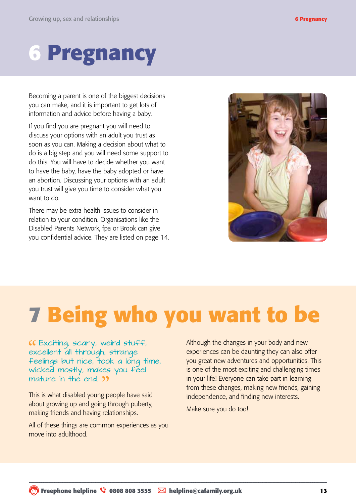## **6 Pregnancy**

Becoming a parent is one of the biggest decisions you can make, and it is important to get lots of information and advice before having a baby.

If you find you are pregnant you will need to discuss your options with an adult you trust as soon as you can. Making a decision about what to do is a big step and you will need some support to do this. You will have to decide whether you want to have the baby, have the baby adopted or have an abortion. Discussing your options with an adult you trust will give you time to consider what you want to do.

There may be extra health issues to consider in relation to your condition. Organisations like the Disabled Parents Network, fpa or Brook can give you confidential advice. They are listed on page 14.



# **7 Being who you want to be**

Exciting, scary, weird stuff, excellent all through, strange feelings but nice, took a long time, wicked mostly, makes you feel mature in the end. **39** 

This is what disabled young people have said about growing up and going through puberty, making friends and having relationships.

All of these things are common experiences as you move into adulthood.

Although the changes in your body and new experiences can be daunting they can also offer you great new adventures and opportunities. This is one of the most exciting and challenging times in your life! Everyone can take part in learning from these changes, making new friends, gaining independence, and finding new interests.

Make sure you do too!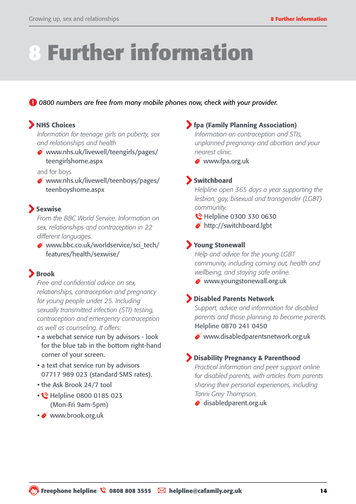## **8 Further information**

#### *0800 numbers are free from many mobile phones now, check with your provider.*

### **NHS Choices**

*Information for teenage girls on puberty, sex and relationships and health*

www.nhs.uk/livewell/teengirls/pages/ teengirlshome.aspx

and for boys

www.nhs.uk/livewell/teenboys/pages/ teenboyshome.aspx

#### Sexwise

*From the BBC World Service. Information on sex, relationships and contraception in 22 different languages.* 

www.bbc.co.uk/worldservice/sci\_tech/ features/health/sexwise/

### Brook

*Free and confidential advice on sex, relationships, contraception and pregnancy for young people under 25. Including sexually transmitted infection (STI) testing, contraception and emergency contraception as well as counseling. It offers:*

- **•** a webchat service run by advisors look for the blue tab in the bottom right-hand corner of your screen.
- a text chat service run by advisors 07717 989 023 (standard SMS rates).
- the Ask Brook 24/7 tool
- **•** Helpline 0800 0185 023 (Mon-Fri 9am-5pm)
- www.brook.org.uk

### fpa (Family Planning Association)

*Information on contraception and STIs, unplanned pregnancy and abortian and your nearest clinic.*

www.fpa.org.uk

#### Switchboard

*Helpline open 365 days a year supporting the lesbian, gay, bisexual and transgender (LGBT) community.* 

- **C** Helpline 0300 330 0630
- ◆ http://switchboard.lgbt

#### Young Stonewall

*Help and advice for the young LGBT community, including coming out, health and wellbeing, and staying safe online.*

www.youngstonewall.org.uk

#### Disabled Parents Network

*Support, advice and information for disabled parents and those planning to become parents.* Helpline 0870 241 0450

www.disabledparentsnetwork.org.uk

#### Disability Pregnancy & Parenthood

*Practical information and peer support online for disabled parents, with articles from parents sharing their personal experiences, including Tanni Grey Thompson.*

[disabledparent.org.uk](http://disabledparent.org.uk/
)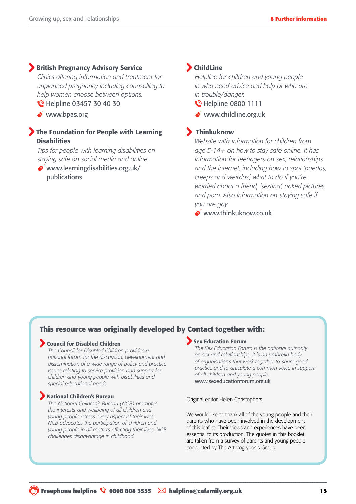#### **British Pregnancy Advisory Service**

*Clinics offering information and treatment for unplanned pregnancy including counselling to help women choose between options.* 

- **C** Helpline 03457 30 40 30
- www.bpas.org

#### The Foundation for People with Learning **Disabilities**

*Tips for people with learning disabilities on staying safe on social media and online.*

 $\bullet$  www.learningdisabilities.org.uk/ publications

#### ChildLine

 *Helpline for children and young people in who need advice and help or who are in trouble/danger.*

- **M** Helpline 0800 1111
- www.childline.org.uk

#### Thinkuknow

*Website with information for children from age 5-14+ on how to stay safe online. It has information for teenagers on sex, relationships and the internet, including how to spot 'paedos, creeps and weirdos', what to do if you're worried about a friend, 'sexting', naked pictures and porn. Also information on staying safe if you are gay.*

www.thinkuknow.co.uk

#### **This resource was originally developed by Contact together with:**

#### Council for Disabled Children

*The Council for Disabled Children provides a national forum for the discussion, development and dissemination of a wide range of policy and practice issues relating to service provision and support for children and young people with disabilities and special educational needs.*

#### National Children's Bureau

*The National Children's Bureau (NCB) promotes the interests and wellbeing of all children and young people across every aspect of their lives. NCB advocates the participation of children and young people in all matters affecting their lives. NCB challenges disadvantage in childhood.*

#### Sex Education Forum

*The Sex Education Forum is the national authority on sex and relationships. It is an umbrella body of organisations that work together to share good practice and to articulate a common voice in support of all children and young people.* www.sexeducationforum.org.uk

Original editor Helen Christophers

We would like to thank all of the young people and their parents who have been involved in the development of this leaflet. Their views and experiences have been essential to its production. The quotes in this booklet are taken from a survey of parents and young people conducted by The Arthrogryposis Group.